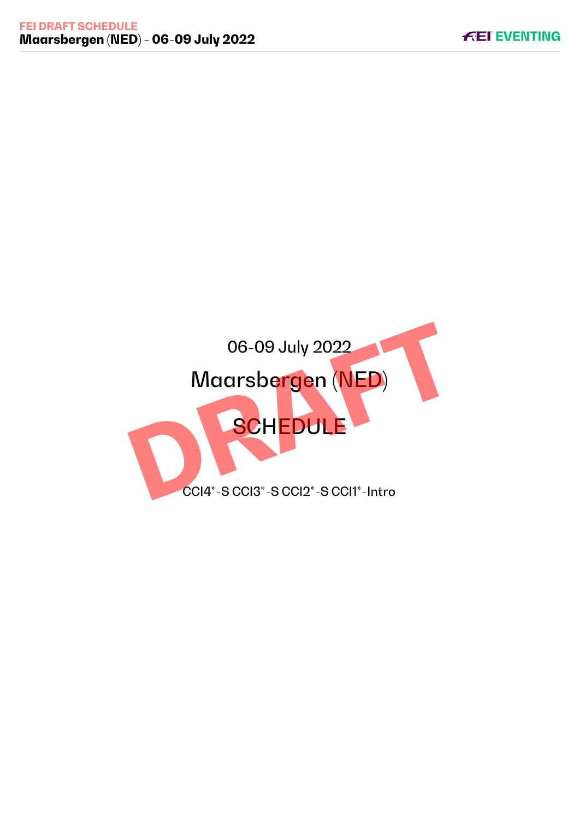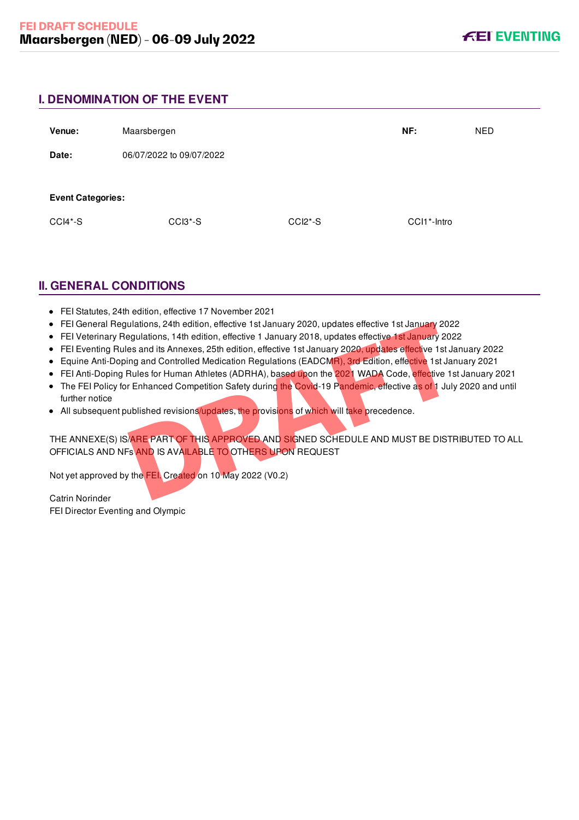# **I. DENOMINATION OF THE EVENT**

| Venue:                   | Maarsbergen              |           | NF:         | <b>NED</b> |
|--------------------------|--------------------------|-----------|-------------|------------|
| Date:                    | 06/07/2022 to 09/07/2022 |           |             |            |
| <b>Event Categories:</b> |                          |           |             |            |
| CCI4*-S                  | CCI3*-S                  | $CCI2*-S$ | CCI1*-Intro |            |

# **II. GENERAL CONDITIONS**

- FEI Statutes, 24th edition, effective 17 November 2021
- FEI General Regulations, 24th edition, effective 1st January 2020, updates effective 1st January 2022
- FEI Veterinary Regulations, 14th edition, effective 1 January 2018, updates effective 1st January 2022
- FEI Eventing Rules and its Annexes, 25th edition, effective 1st January 2020, updates effective 1st January 2022
- Equine Anti-Doping and Controlled Medication Regulations (EADCMR), 3rd Edition, effective 1st January 2021
- FEI Anti-Doping Rules for Human Athletes (ADRHA), based upon the 2021 WADA Code, effective 1st January 2021
- The FEI Policy for Enhanced Competition Safety during the Covid-19 Pandemic, effective as of 1 July 2020 and until further notice
- All subsequent published revisions/updates, the provisions of which will take precedence.

THE ANNEXE(S) IS/ARE PART OF THIS APPROVED AND SIGNED SCHEDULE AND MUST BE DISTRIBUTED TO ALL OFFICIALS AND NFs AND IS AVAILABLE TO OTHERS UPON REQUEST Ulations, 24th edition, effective 1st January 2020, updates effective 1st January 2022<br>egulations, 14th edition, effective 1 January 2018, updates effective 1st January 2023<br>es and its Annexes, 25th edition, effective 1st

Not yet approved by the FEI. Created on 10 May 2022 (V0.2)

Catrin Norinder FEI Director Eventing and Olympic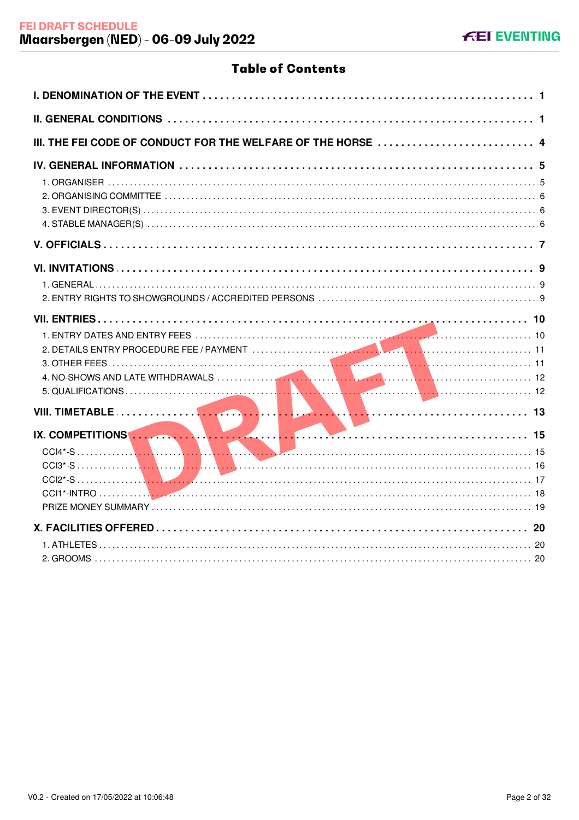# **Table of Contents**

| IX. COMPETITIONS |
|------------------|
|                  |
|                  |
|                  |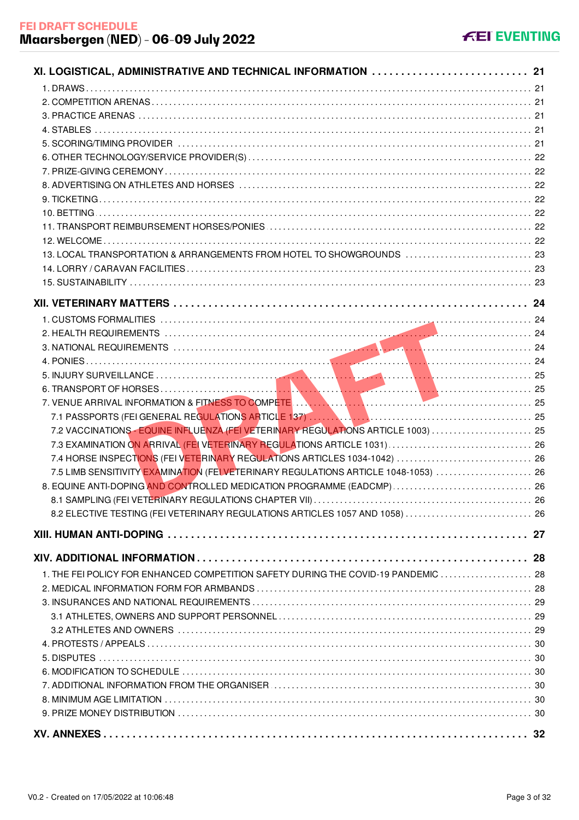| XI. LOGISTICAL, ADMINISTRATIVE AND TECHNICAL INFORMATION  21                        |  |
|-------------------------------------------------------------------------------------|--|
|                                                                                     |  |
|                                                                                     |  |
|                                                                                     |  |
|                                                                                     |  |
|                                                                                     |  |
|                                                                                     |  |
|                                                                                     |  |
|                                                                                     |  |
|                                                                                     |  |
|                                                                                     |  |
|                                                                                     |  |
|                                                                                     |  |
| 13. LOCAL TRANSPORTATION & ARRANGEMENTS FROM HOTEL TO SHOWGROUNDS  23               |  |
|                                                                                     |  |
|                                                                                     |  |
|                                                                                     |  |
|                                                                                     |  |
|                                                                                     |  |
|                                                                                     |  |
|                                                                                     |  |
|                                                                                     |  |
|                                                                                     |  |
|                                                                                     |  |
|                                                                                     |  |
| 7.2 VACCINATIONS - EQUINE INFLUENZA (FEI VETERINARY REGULATIONS ARTICLE 1003)  25   |  |
|                                                                                     |  |
|                                                                                     |  |
| 7.5 LIMB SENSITIVITY EXAMINATION (FEI VETERINARY REGULATIONS ARTICLE 1048-1053)  26 |  |
|                                                                                     |  |
|                                                                                     |  |
| 8.2 ELECTIVE TESTING (FEI VETERINARY REGULATIONS ARTICLES 1057 AND 1058)  26        |  |
|                                                                                     |  |
|                                                                                     |  |
|                                                                                     |  |
| 1. THE FEI POLICY FOR ENHANCED COMPETITION SAFETY DURING THE COVID-19 PANDEMIC  28  |  |
|                                                                                     |  |
|                                                                                     |  |
|                                                                                     |  |
|                                                                                     |  |
|                                                                                     |  |
|                                                                                     |  |
|                                                                                     |  |
|                                                                                     |  |
|                                                                                     |  |
|                                                                                     |  |
|                                                                                     |  |
|                                                                                     |  |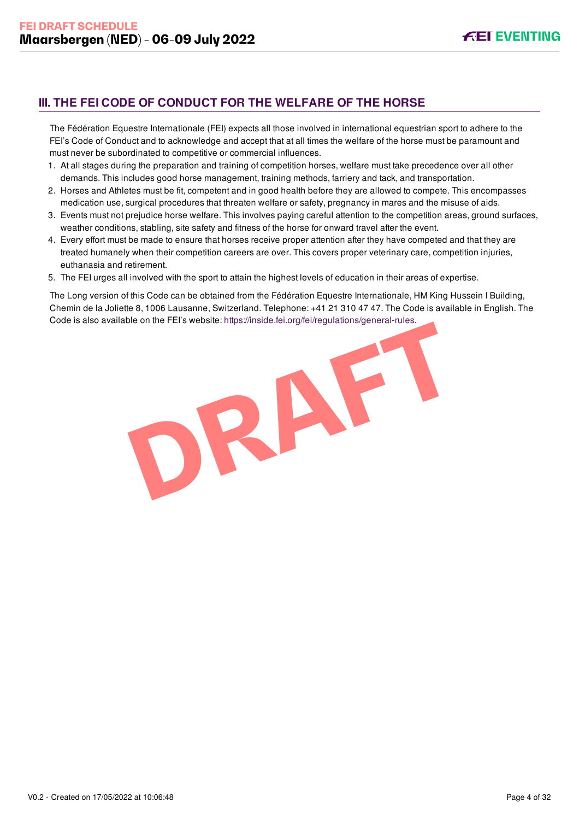# <span id="page-4-0"></span>**III. THE FEI CODE OF CONDUCT FOR THE WELFARE OF THE HORSE**

The Fédération Equestre Internationale (FEI) expects all those involved in international equestrian sport to adhere to the FEI's Code of Conduct and to acknowledge and accept that at all times the welfare of the horse must be paramount and must never be subordinated to competitive or commercial influences.

- 1. At all stages during the preparation and training of competition horses, welfare must take precedence over all other demands. This includes good horse management, training methods, farriery and tack, and transportation.
- 2. Horses and Athletes must be fit, competent and in good health before they are allowed to compete. This encompasses medication use, surgical procedures that threaten welfare or safety, pregnancy in mares and the misuse of aids.
- 3. Events must not prejudice horse welfare. This involves paying careful attention to the competition areas, ground surfaces, weather conditions, stabling, site safety and fitness of the horse for onward travel after the event.
- 4. Every effort must be made to ensure that horses receive proper attention after they have competed and that they are treated humanely when their competition careers are over. This covers proper veterinary care, competition injuries, euthanasia and retirement.
- 5. The FEI urges all involved with the sport to attain the highest levels of education in their areas of expertise.

The Long version of this Code can be obtained from the Fédération Equestre Internationale, HM King Hussein I Building, Chemin de la Joliette 8, 1006 Lausanne, Switzerland. Telephone: +41 21 310 47 47. The Code is available in English. The Code is also available on the FEI's website:<https://inside.fei.org/fei/regulations/general-rules>.

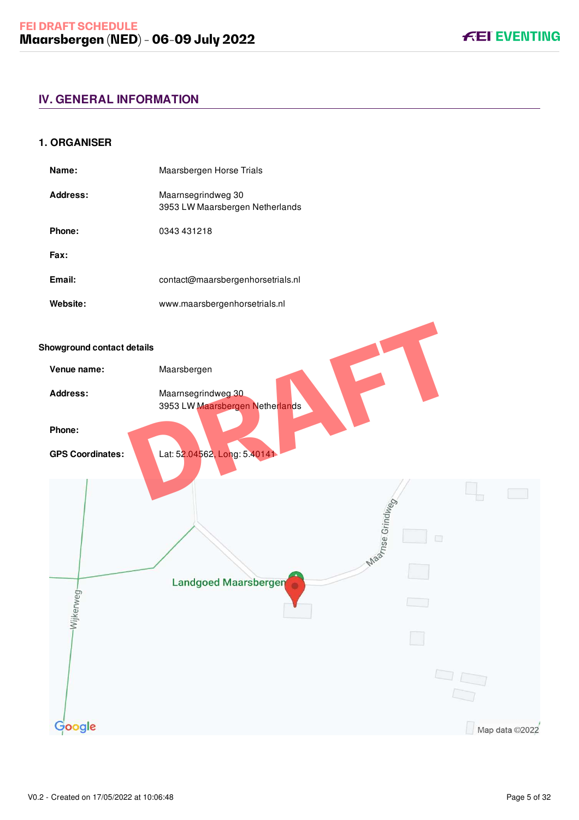# <span id="page-5-0"></span>**IV. GENERAL INFORMATION**

### <span id="page-5-1"></span>**1. ORGANISER**

| Name:    | Maarsbergen Horse Trials                              |
|----------|-------------------------------------------------------|
| Address: | Maarnsegrindweg 30<br>3953 LW Maarsbergen Netherlands |
| Phone:   | 0343 431218                                           |
| Fax:     |                                                       |
| Email:   | contact@maarsbergenhorsetrials.nl                     |
| Website: | www.maarsbergenhorsetrials.nl                         |

#### **Showground contact details**

| nowground contact details |                                                       |                              |                |
|---------------------------|-------------------------------------------------------|------------------------------|----------------|
| Venue name:               | Maarsbergen                                           |                              |                |
| Address:                  | Maarnsegrindweg 30<br>3953 LW Maarsbergen Netherlands |                              |                |
| Phone:                    |                                                       |                              |                |
| <b>GPS Coordinates:</b>   | Lat: 52.04562, Long: 5.40141                          |                              |                |
|                           |                                                       |                              |                |
|                           |                                                       | <b>Manufacture</b><br>$\Box$ |                |
|                           |                                                       |                              |                |
| -Wijkerweg-               | Landgoed Maarsbergen                                  | and the state                |                |
|                           |                                                       |                              |                |
|                           |                                                       |                              |                |
|                           |                                                       |                              |                |
| Google                    |                                                       |                              | Map data ©2022 |

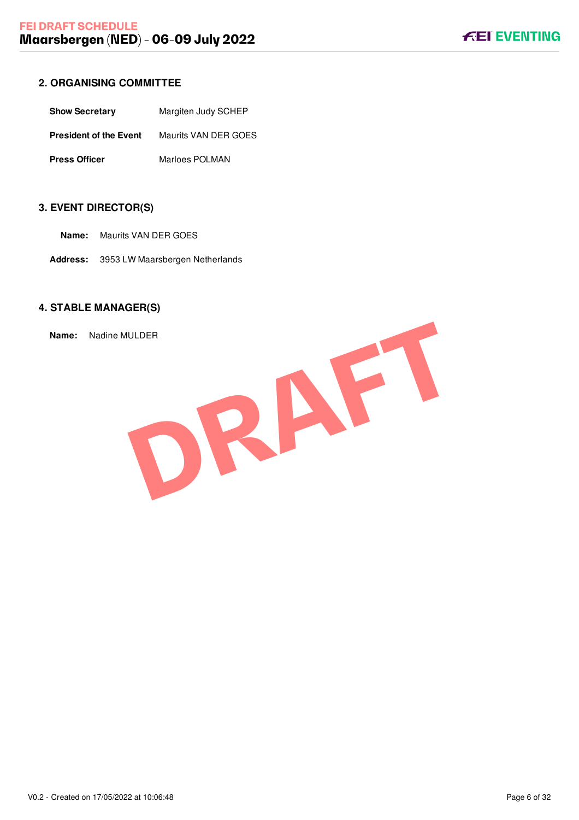# <span id="page-6-0"></span>**2. ORGANISING COMMITTEE**

| <b>Show Secretary</b>         | Margiten Judy SCHEP  |
|-------------------------------|----------------------|
| <b>President of the Event</b> | Maurits VAN DER GOES |
| <b>Press Officer</b>          | Marloes POLMAN       |

# <span id="page-6-1"></span>**3. EVENT DIRECTOR(S)**

- **Name:** Maurits VAN DER GOES
- **Address:** 3953 LW Maarsbergen Netherlands

# <span id="page-6-2"></span>**4. STABLE MANAGER(S)**

**Name:** Nadine MULDER

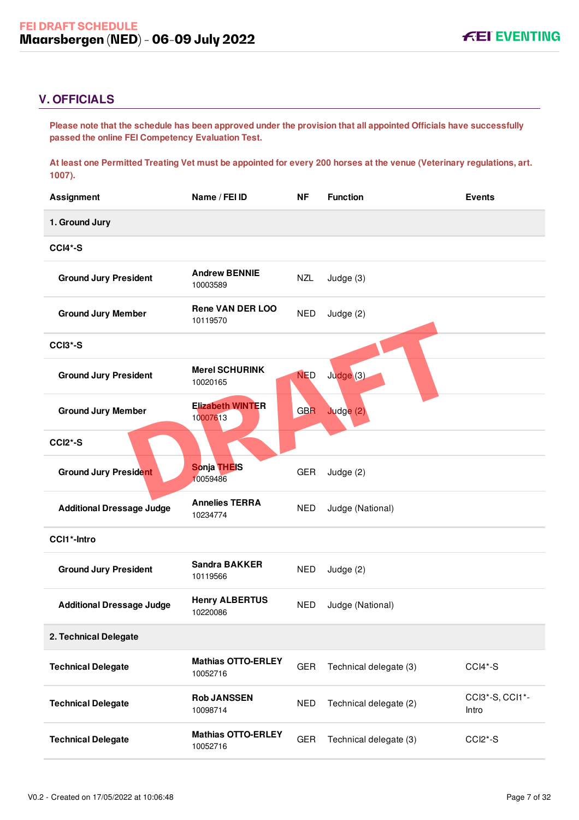# <span id="page-7-0"></span>**V. OFFICIALS**

**Please note that the schedule has been approved under the provision that all appointed Officials have successfully passed the online FEI Competency Evaluation Test.** 

**At least one Permitted Treating Vet must be appointed for every 200 horses at the venue (Veterinary regulations, art. 1007).**

| <b>Assignment</b>                | Name / FEI ID                         | <b>NF</b>  | <b>Function</b>        | <b>Events</b>            |
|----------------------------------|---------------------------------------|------------|------------------------|--------------------------|
| 1. Ground Jury                   |                                       |            |                        |                          |
| CCI4*-S                          |                                       |            |                        |                          |
| <b>Ground Jury President</b>     | <b>Andrew BENNIE</b><br>10003589      | <b>NZL</b> | Judge (3)              |                          |
| <b>Ground Jury Member</b>        | <b>Rene VAN DER LOO</b><br>10119570   | <b>NED</b> | Judge $(2)$            |                          |
| <b>CCI3*-S</b>                   |                                       |            |                        |                          |
| <b>Ground Jury President</b>     | <b>Merel SCHURINK</b><br>10020165     | <b>NED</b> | Judge <sup>(3)</sup>   |                          |
| <b>Ground Jury Member</b>        | <b>Elizabeth WINTER</b><br>10007613   | <b>GBR</b> | Judge (2)              |                          |
| <b>CCI2*-S</b>                   |                                       |            |                        |                          |
| <b>Ground Jury President</b>     | <b>Sonja THEIS</b><br>10059486        | <b>GER</b> | Judge $(2)$            |                          |
| <b>Additional Dressage Judge</b> | <b>Annelies TERRA</b><br>10234774     | <b>NED</b> | Judge (National)       |                          |
| CCI1*-Intro                      |                                       |            |                        |                          |
| <b>Ground Jury President</b>     | <b>Sandra BAKKER</b><br>10119566      | <b>NED</b> | Judge $(2)$            |                          |
| <b>Additional Dressage Judge</b> | <b>Henry ALBERTUS</b><br>10220086     | <b>NED</b> | Judge (National)       |                          |
| 2. Technical Delegate            |                                       |            |                        |                          |
| <b>Technical Delegate</b>        | <b>Mathias OTTO-ERLEY</b><br>10052716 | <b>GER</b> | Technical delegate (3) | CCI4*-S                  |
| <b>Technical Delegate</b>        | <b>Rob JANSSEN</b><br>10098714        | <b>NED</b> | Technical delegate (2) | CCI3*-S, CCI1*-<br>Intro |
| <b>Technical Delegate</b>        | <b>Mathias OTTO-ERLEY</b><br>10052716 | <b>GER</b> | Technical delegate (3) | CCI2*-S                  |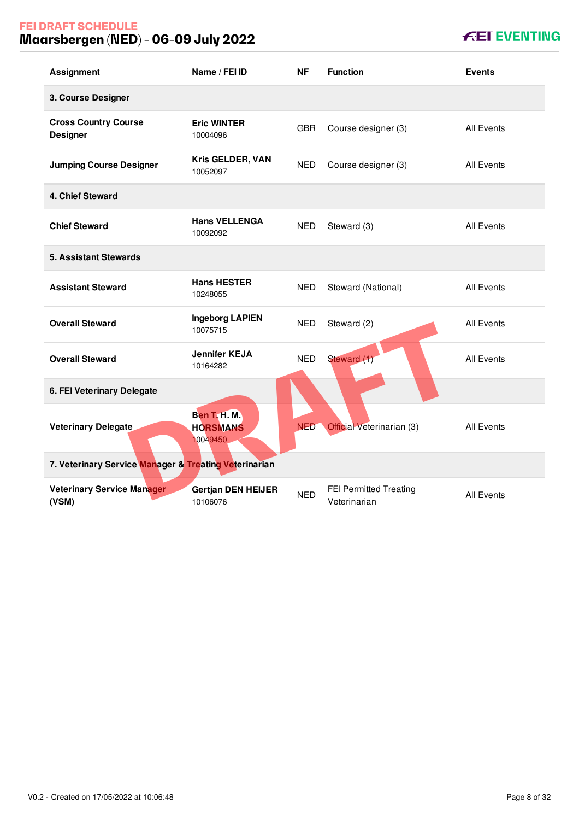# **FEI DRAFT SCHEDULE Maarsbergen (NED) - 06-09 July 2022**

| <b>Assignment</b>                                     | Name / FEI ID                                      | ΝF         | <b>Function</b>                        | <b>Events</b>     |
|-------------------------------------------------------|----------------------------------------------------|------------|----------------------------------------|-------------------|
| 3. Course Designer                                    |                                                    |            |                                        |                   |
| <b>Cross Country Course</b><br><b>Designer</b>        | <b>Eric WINTER</b><br>10004096                     | <b>GBR</b> | Course designer (3)                    | All Events        |
| <b>Jumping Course Designer</b>                        | Kris GELDER, VAN<br>10052097                       | <b>NED</b> | Course designer (3)                    | <b>All Events</b> |
| 4. Chief Steward                                      |                                                    |            |                                        |                   |
| <b>Chief Steward</b>                                  | <b>Hans VELLENGA</b><br>10092092                   | <b>NED</b> | Steward (3)                            | All Events        |
| <b>5. Assistant Stewards</b>                          |                                                    |            |                                        |                   |
| <b>Assistant Steward</b>                              | <b>Hans HESTER</b><br>10248055                     | <b>NED</b> | Steward (National)                     | All Events        |
| <b>Overall Steward</b>                                | <b>Ingeborg LAPIEN</b><br>10075715                 | <b>NED</b> | Steward (2)                            | <b>All Events</b> |
| <b>Overall Steward</b>                                | <b>Jennifer KEJA</b><br>10164282                   | <b>NED</b> | Steward (1)                            | <b>All Events</b> |
| 6. FEI Veterinary Delegate                            |                                                    |            |                                        |                   |
| Veterinary Delegate                                   | <b>Ben T. H. M.</b><br><b>HORSMANS</b><br>10049450 | <b>NED</b> | Official Veterinarian (3)              | All Events        |
| 7. Veterinary Service Manager & Treating Veterinarian |                                                    |            |                                        |                   |
| <b>Veterinary Service Manager</b><br>(VSM)            | <b>Gertjan DEN HEIJER</b><br>10106076              | <b>NED</b> | FEI Permitted Treating<br>Veterinarian | <b>All Events</b> |

# **KEI EVENTING**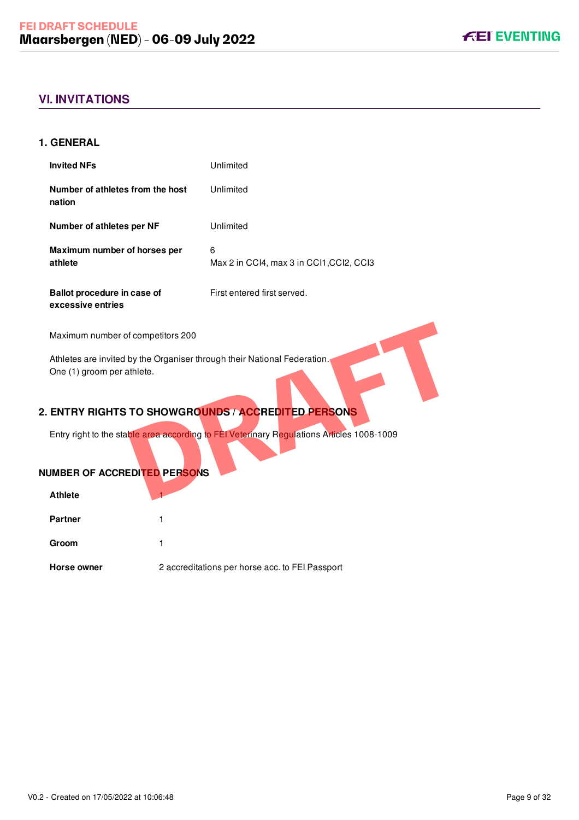# <span id="page-9-0"></span>**VI. INVITATIONS**

### <span id="page-9-1"></span>**1. GENERAL**

| <b>Invited NFs</b>                               | Unlimited                                     |
|--------------------------------------------------|-----------------------------------------------|
| Number of athletes from the host<br>nation       | Unlimited                                     |
| Number of athletes per NF                        | Unlimited                                     |
| Maximum number of horses per<br>athlete          | 6<br>Max 2 in CCI4, max 3 in CCI1, CCI2, CCI3 |
| Ballot procedure in case of<br>excessive entries | First entered first served.                   |

Maximum number of competitors 200

Athletes are invited by the Organiser through their National Federation. One (1) groom per athlete. Framericanse and Determined Tederation.<br>
TO SHOWGROUNDS / ACCREDITED PERSONS<br>
DRAFT ACCREDITED PERSONS<br>
DRAFT ACCREDITED PERSONS<br>
DRAFT ACCREDITED PERSONS<br>
DRAFT ACCREDITED PERSONS

# <span id="page-9-2"></span>**2. ENTRY RIGHTS TO SHOWGROUNDS / ACCREDITED PERSONS**

Entry right to the stable area according to FEI Veterinary Regulations Articles 1008-1009

## **NUMBER OF ACCREDITED PERSONS**

| <b>Athlete</b> |                                                 |
|----------------|-------------------------------------------------|
| <b>Partner</b> |                                                 |
| Groom          |                                                 |
| Horse owner    | 2 accreditations per horse acc. to FEI Passport |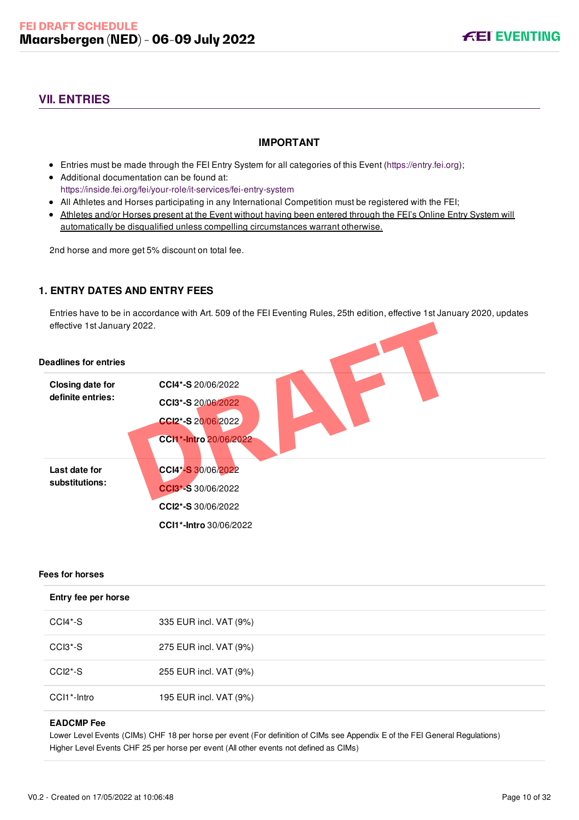# <span id="page-10-0"></span>**VII. ENTRIES**

### **IMPORTANT**

- Entries must be made through the FEI Entry System for all categories of this Event ([https://entry.fei.org\)](https://entry.fei.org);
- Additional documentation can be found at: <https://inside.fei.org/fei/your-role/it-services/fei-entry-system>
- All Athletes and Horses participating in any International Competition must be registered with the FEI;
- Athletes and/or Horses present at the Event without having been entered through the FEI's Online Entry System will automatically be disqualified unless compelling circumstances warrant otherwise.

2nd horse and more get 5% discount on total fee.

### <span id="page-10-1"></span>**1. ENTRY DATES AND ENTRY FEES**

Entries have to be in accordance with Art. 509 of the FEI Eventing Rules, 25th edition, effective 1st January 2020, updates effective 1st January 2022.

| effective 1st January 2022.                  |                                                                                                 |
|----------------------------------------------|-------------------------------------------------------------------------------------------------|
| <b>Deadlines for entries</b>                 |                                                                                                 |
| <b>Closing date for</b><br>definite entries: | CCI4*-S 20/06/2022<br>CCI3*-S 20/06/2022<br>CCI2*-S 20/06/2022<br>CCI1*-Intro 20/06/2022        |
| Last date for<br>substitutions:              | CCI4*-S 30/06/2022<br>CCI3*-S 30/06/2022<br>CCI2*-S 30/06/2022<br><b>CCI1*-Intro</b> 30/06/2022 |

#### **Fees for horses**

| Entry fee per horse              |                        |  |
|----------------------------------|------------------------|--|
| CCI4*-S                          | 335 EUR incl. VAT (9%) |  |
| CCI3 <sup>*</sup> -S             | 275 EUR incl. VAT (9%) |  |
| CCI <sub>2</sub> <sup>*</sup> -S | 255 EUR incl. VAT (9%) |  |
| CCI1 <sup>*</sup> -Intro         | 195 EUR incl. VAT (9%) |  |

#### **EADCMP Fee**

Lower Level Events (CIMs) CHF 18 per horse per event (For definition of CIMs see Appendix E of the FEI General Regulations) Higher Level Events CHF 25 per horse per event (All other events not defined as CIMs)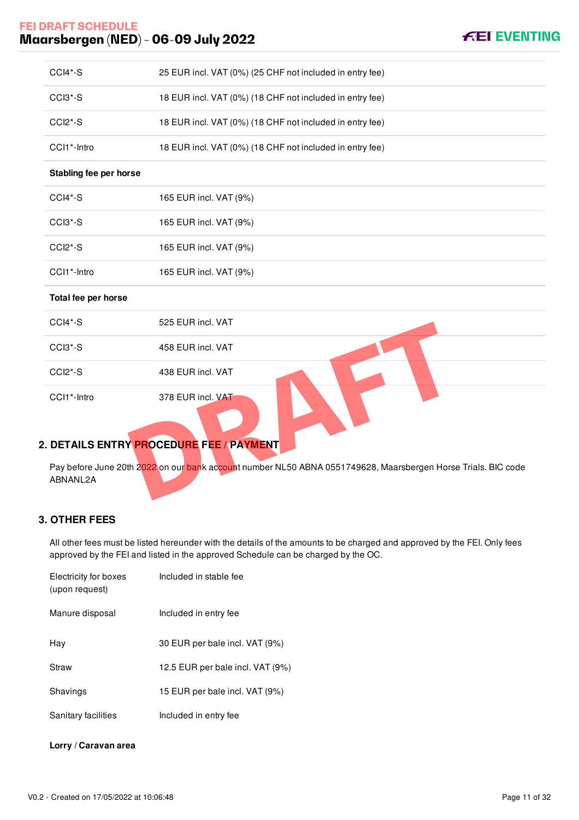# **FEI DRAFT SCHEDULE Maarsbergen (NED) - 06-09 July 2022**

| CCI4*-S                          | 25 EUR incl. VAT (0%) (25 CHF not included in entry fee)                                                      |
|----------------------------------|---------------------------------------------------------------------------------------------------------------|
| CCI3*-S                          | 18 EUR incl. VAT (0%) (18 CHF not included in entry fee)                                                      |
| CCI <sub>2</sub> <sup>*</sup> -S | 18 EUR incl. VAT (0%) (18 CHF not included in entry fee)                                                      |
| CCI1*-Intro                      | 18 EUR incl. VAT (0%) (18 CHF not included in entry fee)                                                      |
| Stabling fee per horse           |                                                                                                               |
| $CCI4*-S$                        | 165 EUR incl. VAT (9%)                                                                                        |
| CCI3*-S                          | 165 EUR incl. VAT (9%)                                                                                        |
| CCI2*-S                          | 165 EUR incl. VAT (9%)                                                                                        |
| CCI1*-Intro                      | 165 EUR incl. VAT (9%)                                                                                        |
| Total fee per horse              |                                                                                                               |
| CCI4*-S                          | 525 EUR incl. VAT                                                                                             |
| CCI3*-S                          | 458 EUR incl. VAT                                                                                             |
| CCI2*-S                          | 438 EUR incl. VAT                                                                                             |
| CCI1*-Intro                      | 378 EUR incl. VAT                                                                                             |
|                                  | 2. DETAILS ENTRY PROCEDURE FEE / PAYMENT                                                                      |
| ABNANL2A                         | Pay before June 20th 2022 on our bank account number NL50 ABNA 0551749628, Maarsbergen Horse Trials. BIC code |

# <span id="page-11-0"></span>**2. DETAILS ENTRY PROCEDURE FEE / PAYMENT**

### <span id="page-11-1"></span>**3. OTHER FEES**

All other fees must be listed hereunder with the details of the amounts to be charged and approved by the FEI. Only fees approved by the FEI and listed in the approved Schedule can be charged by the OC.

| Electricity for boxes<br>(upon request) | Included in stable fee           |
|-----------------------------------------|----------------------------------|
| Manure disposal                         | Included in entry fee            |
| Hav                                     | 30 EUR per bale incl. VAT (9%)   |
| Straw                                   | 12.5 EUR per bale incl. VAT (9%) |
| Shavings                                | 15 EUR per bale incl. VAT (9%)   |
| Sanitary facilities                     | Included in entry fee            |

### **Lorry / Caravan area**

**FEI EVENTING**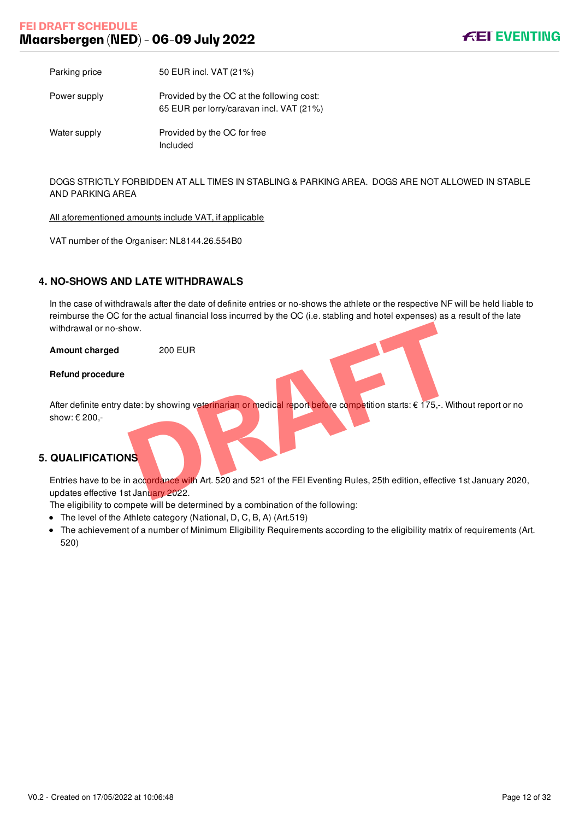# **FEI DRAFT SCHEDULE Maarsbergen (NED) - 06-09 July 2022**



Parking price 50 EUR incl. VAT (21%)

Power supply Provided by the OC at the following cost: 65 EUR per lorry/caravan incl. VAT (21%)

Water supply **Provided by the OC for free** Included

DOGS STRICTLY FORBIDDEN AT ALL TIMES IN STABLING & PARKING AREA. DOGS ARE NOT ALLOWED IN STABLE AND PARKING AREA

All aforementioned amounts include VAT, if applicable

VAT number of the Organiser: NL8144.26.554B0

### <span id="page-12-0"></span>**4. NO-SHOWS AND LATE WITHDRAWALS**

In the case of withdrawals after the date of definite entries or no-shows the athlete or the respective NF will be held liable to reimburse the OC for the actual financial loss incurred by the OC (i.e. stabling and hotel expenses) as a result of the late withdrawal or no-show.

**Amount charged** 200 EUR

#### **Refund procedure**

After definite entry date: by showing veterinarian or medical report before competition starts: € 175,-. Without report or no show: € 200, ow.<br>
200 EUR<br>
ate: by showing veterfinarian or medical report before competition starts: € 175,-. Wit<br>
<br> **DRAFTA CONTENT OF A CONTENT OF A CONTENT OF A CONTENT OF A CONTENT OF A CONTENT OF A CONTENT OF A CONTENT OF A CONT** 

### <span id="page-12-1"></span>**5. QUALIFICATIONS**

Entries have to be in accordance with Art. 520 and 521 of the FEI Eventing Rules, 25th edition, effective 1st January 2020, updates effective 1st January 2022.

The eligibility to compete will be determined by a combination of the following:

- The level of the Athlete category (National, D, C, B, A) (Art.519)
- The achievement of a number of Minimum Eligibility Requirements according to the eligibility matrix of requirements (Art. 520)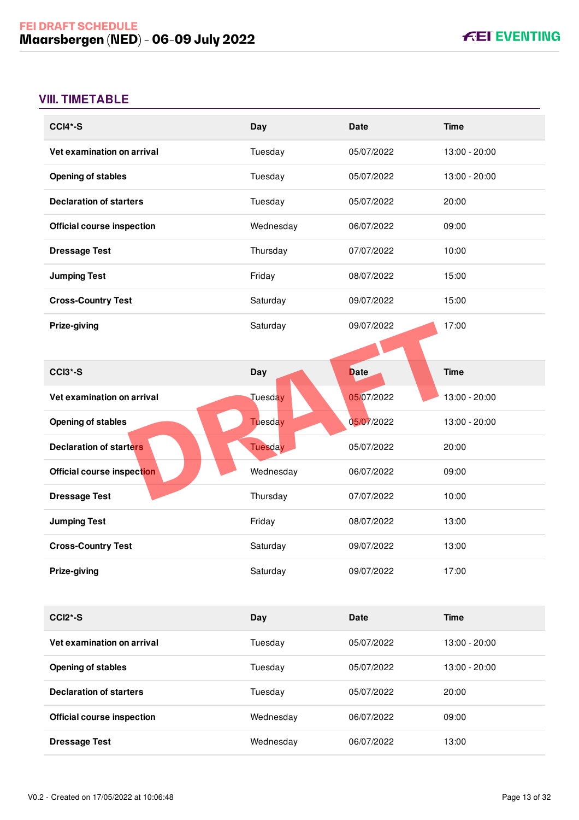# <span id="page-13-0"></span>**VIII. TIMETABLE**

| <b>CCI4*-S</b>                    | Day            | <b>Date</b> | <b>Time</b>   |
|-----------------------------------|----------------|-------------|---------------|
| Vet examination on arrival        | Tuesday        | 05/07/2022  | 13:00 - 20:00 |
| <b>Opening of stables</b>         | Tuesday        | 05/07/2022  | 13:00 - 20:00 |
| <b>Declaration of starters</b>    | Tuesday        | 05/07/2022  | 20:00         |
| <b>Official course inspection</b> | Wednesday      | 06/07/2022  | 09:00         |
| <b>Dressage Test</b>              | Thursday       | 07/07/2022  | 10:00         |
| <b>Jumping Test</b>               | Friday         | 08/07/2022  | 15:00         |
| <b>Cross-Country Test</b>         | Saturday       | 09/07/2022  | 15:00         |
| Prize-giving                      | Saturday       | 09/07/2022  | 17:00         |
|                                   |                |             |               |
| CCI3*-S                           | <b>Day</b>     | <b>Date</b> | <b>Time</b>   |
| Vet examination on arrival        | Tuesday        | 05/07/2022  | 13:00 - 20:00 |
| <b>Opening of stables</b>         | Tuesday        | 05/07/2022  | 13:00 - 20:00 |
| <b>Declaration of starters</b>    | <b>Tuesday</b> | 05/07/2022  | 20:00         |
| Official course inspection        | Wednesday      | 06/07/2022  | 09:00         |
| <b>Dressage Test</b>              | Thursday       | 07/07/2022  | 10:00         |
| <b>Jumping Test</b>               | Friday         | 08/07/2022  | 13:00         |
| <b>Cross-Country Test</b>         | Saturday       | 09/07/2022  | 13:00         |
| Prize-giving                      | Saturday       | 09/07/2022  | 17:00         |
|                                   |                |             |               |
| CCI2*-S                           | Day            | <b>Date</b> | <b>Time</b>   |
| Vet examination on arrival        | Tuesday        | 05/07/2022  | 13:00 - 20:00 |
| <b>Opening of stables</b>         | Tuesday        | 05/07/2022  | 13:00 - 20:00 |
| <b>Declaration of starters</b>    | Tuesday        | 05/07/2022  | 20:00         |
| <b>Official course inspection</b> | Wednesday      | 06/07/2022  | 09:00         |
| <b>Dressage Test</b>              | Wednesday      | 06/07/2022  | 13:00         |
|                                   |                |             |               |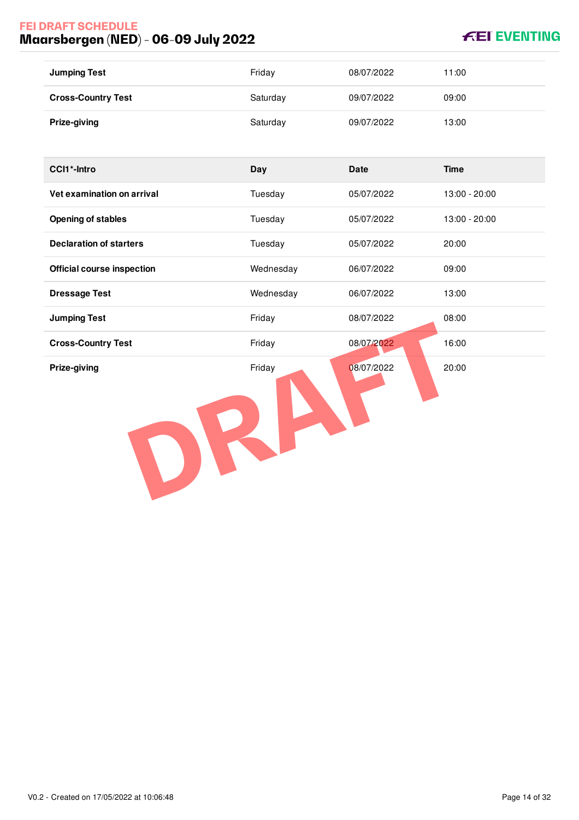# **FEI DRAFT SCHEDULE Maarsbergen (NED) - 06-09 July 2022**

# **KEI EVENTING**

| <b>Jumping Test</b>       | Friday   | 08/07/2022 | 11:00 |
|---------------------------|----------|------------|-------|
| <b>Cross-Country Test</b> | Saturday | 09/07/2022 | 09:00 |
| Prize-giving              | Saturday | 09/07/2022 | 13:00 |

| <b>CCI1*-Intro</b>                | Day       | <b>Date</b> | <b>Time</b>   |
|-----------------------------------|-----------|-------------|---------------|
| Vet examination on arrival        | Tuesday   | 05/07/2022  | 13:00 - 20:00 |
| <b>Opening of stables</b>         | Tuesday   | 05/07/2022  | 13:00 - 20:00 |
| <b>Declaration of starters</b>    | Tuesday   | 05/07/2022  | 20:00         |
| <b>Official course inspection</b> | Wednesday | 06/07/2022  | 09:00         |
| <b>Dressage Test</b>              | Wednesday | 06/07/2022  | 13:00         |
| <b>Jumping Test</b>               | Friday    | 08/07/2022  | 08:00         |
| <b>Cross-Country Test</b>         | Friday    | 08/07/2022  | 16:00         |
| Prize-giving                      | Friday    | 08/07/2022  | 20:00         |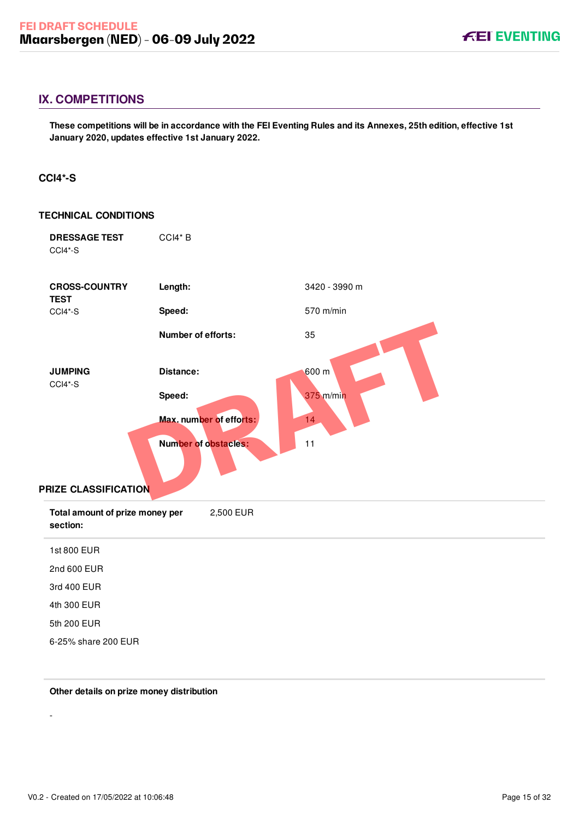## <span id="page-15-0"></span>**IX. COMPETITIONS**

**These competitions will be in accordance with the FEI Eventing Rules and its Annexes, 25th edition, effective 1st January 2020, updates effective 1st January 2022.**

#### <span id="page-15-1"></span>**CCI4\*-S**

| <b>TECHNICAL CONDITIONS</b>                 |                             |               |
|---------------------------------------------|-----------------------------|---------------|
| <b>DRESSAGE TEST</b><br>CCI4*-S             | CCI4*B                      |               |
| <b>CROSS-COUNTRY</b><br><b>TEST</b>         | Length:                     | 3420 - 3990 m |
| CCI4*-S                                     | Speed:                      | 570 m/min     |
|                                             | Number of efforts:          | 35            |
| <b>JUMPING</b>                              | Distance:                   | 600 m         |
| CCI4*-S                                     | Speed:                      | 375 m/min     |
|                                             | Max. number of efforts:     | 14            |
| PRIZE CLASSIFICATION                        | <b>Number of obstacles:</b> | 11            |
| Total amount of prize money per<br>section: | 2,500 EUR                   |               |
| 1st 800 EUR                                 |                             |               |
| 2nd 600 EUR                                 |                             |               |
| 3rd 400 EUR                                 |                             |               |
| 4th 300 EUR                                 |                             |               |
| 5th 200 EUR                                 |                             |               |
| 6-25% share 200 EUR                         |                             |               |

#### **Other details on prize money distribution**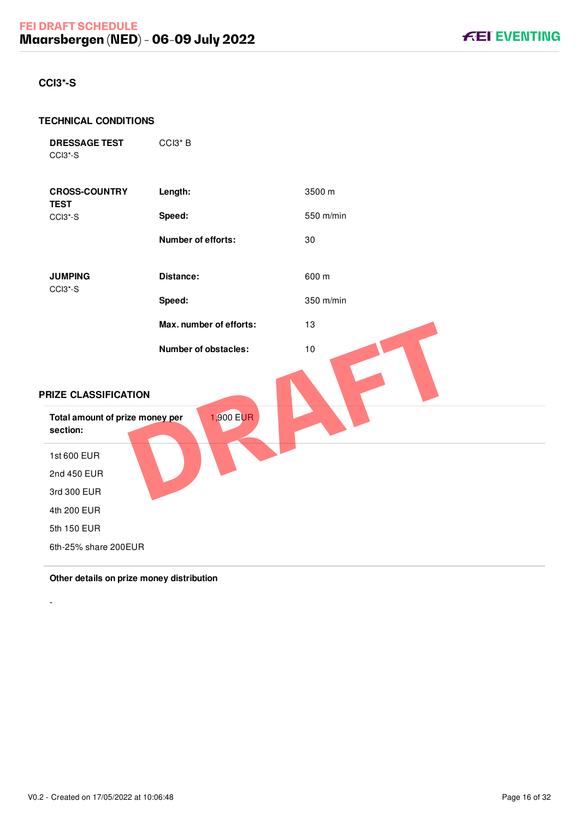## <span id="page-16-0"></span>**CCI3\*-S**

#### **TECHNICAL CONDITIONS**

```
DRESSAGE TEST
CCI3*-S
```
CCI3\* B

| <b>CROSS-COUNTRY</b><br><b>TEST</b>         | Length:                 | 3500 m    |
|---------------------------------------------|-------------------------|-----------|
| CCI3*-S                                     | Speed:                  | 550 m/min |
|                                             | Number of efforts:      | 30        |
| <b>JUMPING</b><br>CCI3*-S                   | Distance:               | 600 m     |
|                                             | Speed:                  | 350 m/min |
|                                             | Max. number of efforts: | 13        |
|                                             | Number of obstacles:    | 10        |
| PRIZE CLASSIFICATION                        |                         |           |
| Total amount of prize money per<br>section: | 1,900 EUR               |           |
| 1st 600 EUR                                 |                         |           |
| 2nd 450 EUR                                 |                         |           |
| 3rd 300 EUR                                 |                         |           |
| 4th 200 EUR                                 |                         |           |
| 5th 150 EUR                                 |                         |           |
| 6th-25% share 200EUR                        |                         |           |

## **Other details on prize money distribution**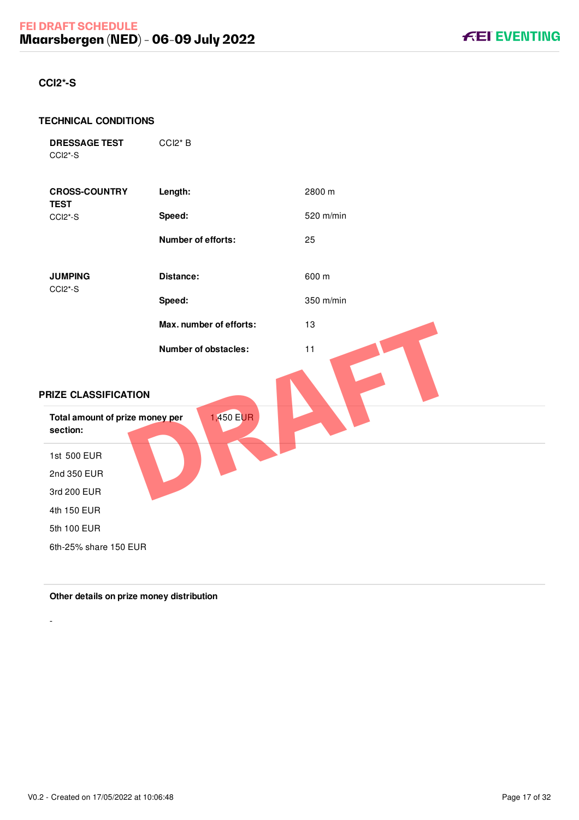## <span id="page-17-0"></span>**CCI2\*-S**

#### **TECHNICAL CONDITIONS**

```
DRESSAGE TEST
CCI2*-S
```
CCI2\* B

| <b>CROSS-COUNTRY</b><br><b>TEST</b>         | Length:                 | 2800 m    |
|---------------------------------------------|-------------------------|-----------|
| CCI2*-S                                     | Speed:                  | 520 m/min |
|                                             | Number of efforts:      | 25        |
| <b>JUMPING</b><br>CCI2*-S                   | Distance:               | 600 m     |
|                                             | Speed:                  | 350 m/min |
|                                             | Max. number of efforts: | 13        |
| PRIZE CLASSIFICATION                        | Number of obstacles:    | 11        |
| Total amount of prize money per<br>section: | 1,450 EUR               |           |
| 1st 500 EUR                                 |                         |           |
| 2nd 350 EUR                                 |                         |           |
| 3rd 200 EUR                                 |                         |           |
| 4th 150 EUR                                 |                         |           |
| 5th 100 EUR                                 |                         |           |
| 6th-25% share 150 EUR                       |                         |           |

**Other details on prize money distribution**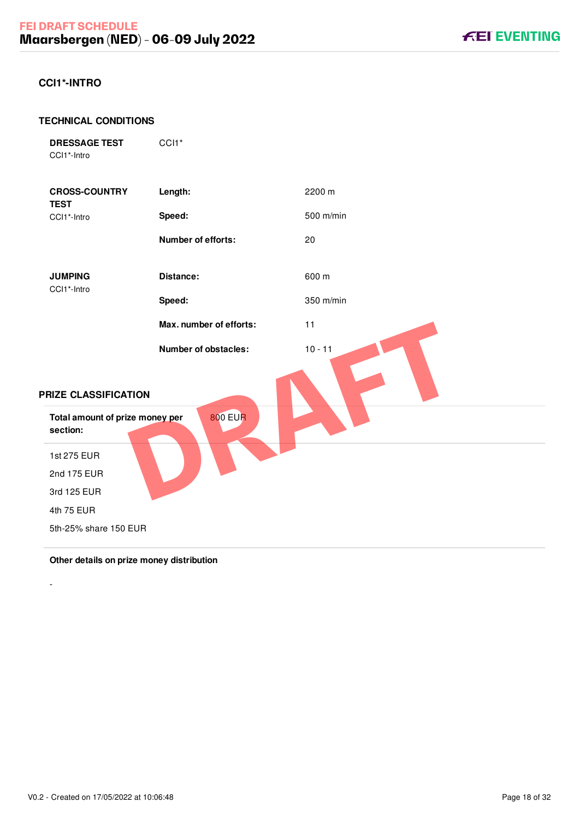### <span id="page-18-0"></span>**CCI1\*-INTRO**

#### **TECHNICAL CONDITIONS**

| <b>DRESSAGE TEST</b> |  |
|----------------------|--|
| CCI1*-Intro          |  |

CCI<sub>1</sub>\*



#### **Other details on prize money distribution**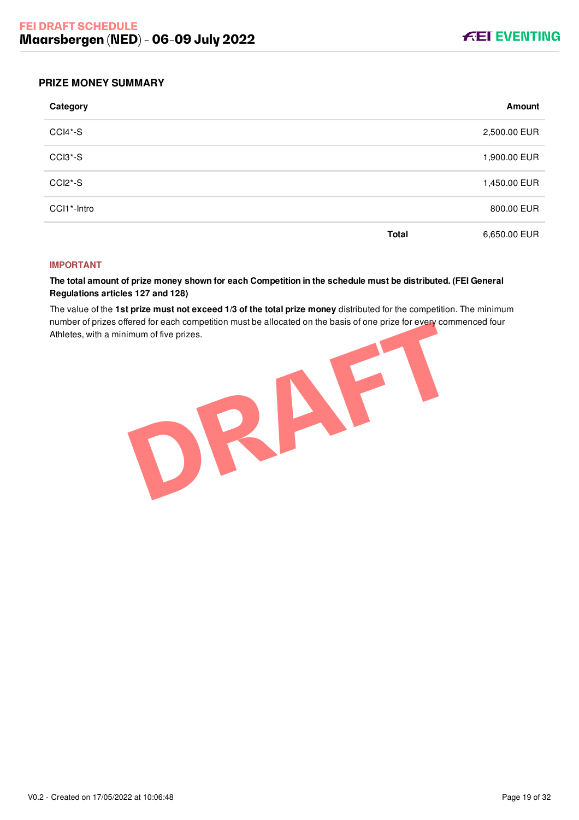

#### <span id="page-19-0"></span>**PRIZE MONEY SUMMARY**

| Category    |              | Amount       |
|-------------|--------------|--------------|
| CCI4*-S     |              | 2,500.00 EUR |
| CCI3*-S     |              | 1,900.00 EUR |
| CCI2*-S     |              | 1,450.00 EUR |
| CCI1*-Intro |              | 800.00 EUR   |
|             | <b>Total</b> | 6,650.00 EUR |

#### **IMPORTANT**

**The total amount of prize money shown for each Competition in the schedule must be distributed. (FEI General Regulations articles 127 and 128)**

The value of the **1st prize must not exceed 1/3 of the total prize money** distributed for the competition. The minimum number of prizes offered for each competition must be allocated on the basis of one prize for every commenced four Athletes, with a minimum of five prizes.

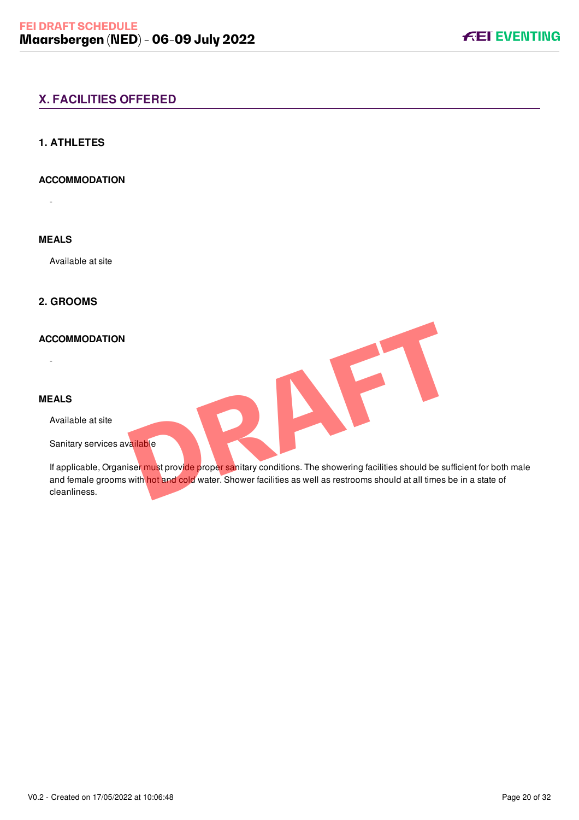# <span id="page-20-0"></span>**X. FACILITIES OFFERED**

### <span id="page-20-1"></span>**1. ATHLETES**

### **ACCOMMODATION**

-

# **MEALS**

Available at site

# <span id="page-20-2"></span>**2. GROOMS**

#### **ACCOMMODATION**

#### **MEALS**

-

Available at site

Sanitary services available

If applicable, Organiser must provide proper sanitary conditions. The showering facilities should be sufficient for both male and female grooms with hot and cold water. Shower facilities as well as restrooms should at all times be in a state of cleanliness. **PRODUCED SERVERS AND AN ART AND A SERVER AND A SERVER AND A SERVER AND A SERVER AND A SERVER AND A SERVER AND A SERVER AND A SERVER AND A SERVER AND A SERVER AND A SERVER AND A SERVER AND A SERVER AND A SERVER AND A SERVE** 

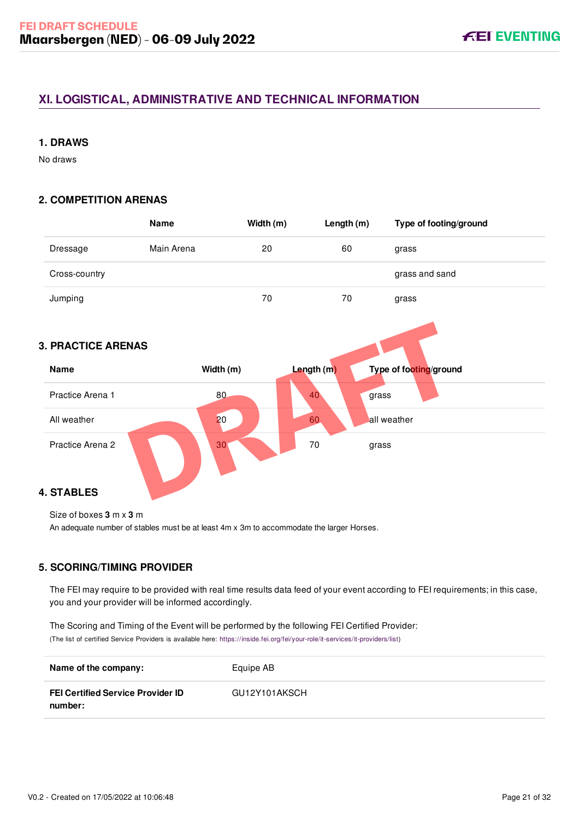# <span id="page-21-0"></span>**XI. LOGISTICAL, ADMINISTRATIVE AND TECHNICAL INFORMATION**

### <span id="page-21-1"></span>**1. DRAWS**

No draws

### <span id="page-21-2"></span>**2. COMPETITION ARENAS**

<span id="page-21-3"></span>

|                           | <b>Name</b>     | Width (m)  | Length (m) | Type of footing/ground |
|---------------------------|-----------------|------------|------------|------------------------|
| Dressage                  | Main Arena      | 20         | 60         | grass                  |
| Cross-country             |                 |            |            | grass and sand         |
| Jumping                   |                 | 70         | 70         | grass                  |
|                           |                 |            |            |                        |
| <b>3. PRACTICE ARENAS</b> |                 |            |            |                        |
| <b>Name</b>               | Width (m)       | Length (m) |            | Type of footing/ground |
| Practice Arena 1          | 80              | 40         | grass      |                        |
| All weather               | 20              | 60         |            | all weather            |
| Practice Arena 2          | 30 <sub>1</sub> | 70         | grass      |                        |
| <b>4. STABLES</b>         |                 |            |            |                        |

<span id="page-21-4"></span>Size of boxes **3** m x **3** m

An adequate number of stables must be at least 4m x 3m to accommodate the larger Horses.

### <span id="page-21-5"></span>**5. SCORING/TIMING PROVIDER**

The FEI may require to be provided with real time results data feed of your event according to FEI requirements; in this case, you and your provider will be informed accordingly.

The Scoring and Timing of the Event will be performed by the following FEI Certified Provider: (The list of certified Service Providers is available here: [https://inside.fei.org/fei/your-role/it-services/it-providers/list\)](https://inside.fei.org/fei/your-role/it-services/it-providers/list)

| Name of the company:                                | Equipe AB     |
|-----------------------------------------------------|---------------|
| <b>FEI Certified Service Provider ID</b><br>number: | GU12Y101AKSCH |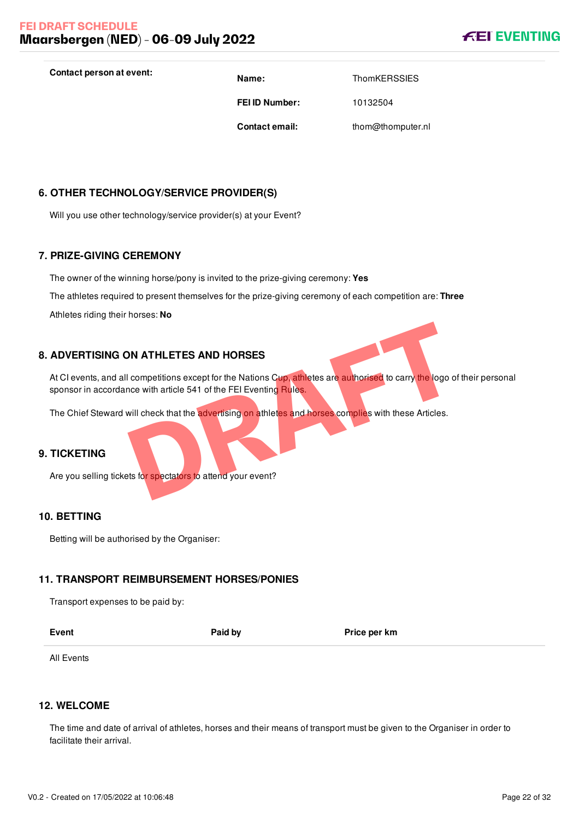

**Contact person at event: Name: Name:** ThomKERSSIES

**FEI ID Number:** 10132504

**Contact email:** thom@thomputer.nl

<span id="page-22-0"></span>**6. OTHER TECHNOLOGY/SERVICE PROVIDER(S)**

Will you use other technology/service provider(s) at your Event?

### <span id="page-22-1"></span>**7. PRIZE-GIVING CEREMONY**

The owner of the winning horse/pony is invited to the prize-giving ceremony: **Yes**

The athletes required to present themselves for the prize-giving ceremony of each competition are: **Three**

Athletes riding their horses: **No**

### **8. ADVERTISING ON ATHLETES AND HORSES**

<span id="page-22-2"></span>At CI events, and all competitions except for the Nations Cup, athletes are authorised to carry the logo of their personal sponsor in accordance with article 541 of the FEI Eventing Rules. **DRATHLETES AND HORSES**<br>
competitions except for the Nations Cup, athletes are authorised to carry the logo of<br>
will check that the advertising on athletes and horses complies with these Articles.<br>
States for spectators to

The Chief Steward will check that the advertising on athletes and horses complies with these Articles.

### <span id="page-22-3"></span>**9. TICKETING**

Are you selling tickets for spectators to attend your event?

#### <span id="page-22-4"></span>**10. BETTING**

Betting will be authorised by the Organiser:

### <span id="page-22-5"></span>**11. TRANSPORT REIMBURSEMENT HORSES/PONIES**

Transport expenses to be paid by:

| ×<br>٠<br>۰. |
|--------------|
|--------------|

**Paid by Price per km** 

All Events

#### <span id="page-22-6"></span>**12. WELCOME**

The time and date of arrival of athletes, horses and their means of transport must be given to the Organiser in order to facilitate their arrival.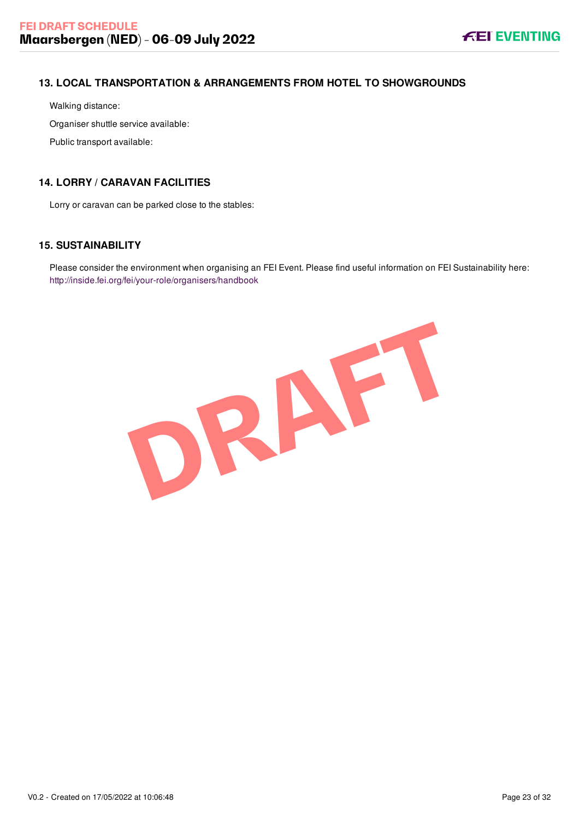# <span id="page-23-0"></span>**13. LOCAL TRANSPORTATION & ARRANGEMENTS FROM HOTEL TO SHOWGROUNDS**

Walking distance:

Organiser shuttle service available:

Public transport available:

# <span id="page-23-1"></span>**14. LORRY / CARAVAN FACILITIES**

Lorry or caravan can be parked close to the stables:

# <span id="page-23-2"></span>**15. SUSTAINABILITY**

Please consider the environment when organising an FEI Event. Please find useful information on FEI Sustainability here: <http://inside.fei.org/fei/your-role/organisers/handbook>

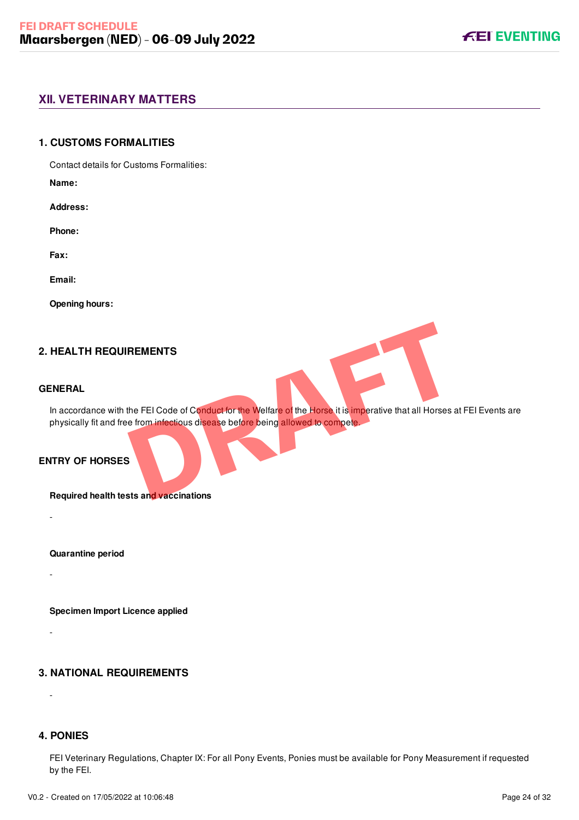## <span id="page-24-0"></span>**XII. VETERINARY MATTERS**

#### <span id="page-24-1"></span>**1. CUSTOMS FORMALITIES**

Contact details for Customs Formalities:

**Name:**

**Address:**

**Phone:**

**Fax:**

**Email:**

**Opening hours:**

### **2. HEALTH REQUIREMENTS**

#### **GENERAL**

-

-

-

-

<span id="page-24-2"></span>In accordance with the FEI Code of Conduct for the Welfare of the Horse it is imperative that all Horses at FEI Events are physically fit and free from infectious disease before being allowed to compete. **REMENTS**<br>the FEI Code of Conduct for the Welfare of the Horse it is imperative that all Horses a<br>e from infectious disease before being allowed to compete.<br>Star and vaccinations

### **ENTRY OF HORSES**

**Required health tests and vaccinations**

**Quarantine period**

**Specimen Import Licence applied**

### <span id="page-24-3"></span>**3. NATIONAL REQUIREMENTS**

#### <span id="page-24-4"></span>**4. PONIES**

FEI Veterinary Regulations, Chapter IX: For all Pony Events, Ponies must be available for Pony Measurement if requested by the FEI.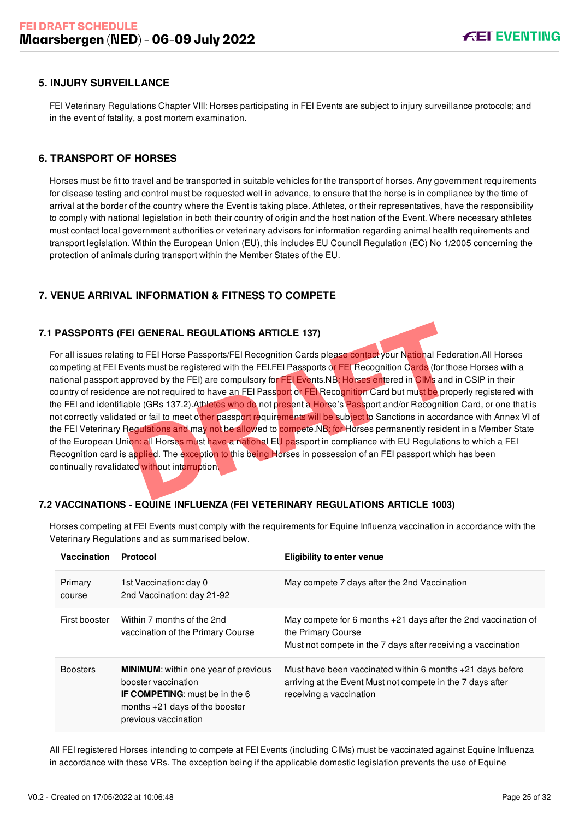### <span id="page-25-0"></span>**5. INJURY SURVEILLANCE**

FEI Veterinary Regulations Chapter VIII: Horses participating in FEI Events are subject to injury surveillance protocols; and in the event of fatality, a post mortem examination.

### <span id="page-25-1"></span>**6. TRANSPORT OF HORSES**

Horses must be fit to travel and be transported in suitable vehicles for the transport of horses. Any government requirements for disease testing and control must be requested well in advance, to ensure that the horse is in compliance by the time of arrival at the border of the country where the Event is taking place. Athletes, or their representatives, have the responsibility to comply with national legislation in both their country of origin and the host nation of the Event. Where necessary athletes must contact local government authorities or veterinary advisors for information regarding animal health requirements and transport legislation. Within the European Union (EU), this includes EU Council Regulation (EC) No 1/2005 concerning the protection of animals during transport within the Member States of the EU.

### <span id="page-25-2"></span>**7. VENUE ARRIVAL INFORMATION & FITNESS TO COMPETE**

#### **7.1 PASSPORTS (FEI GENERAL REGULATIONS ARTICLE 137)**

<span id="page-25-3"></span>For all issues relating to FEI Horse Passports/FEI Recognition Cards please contact your National Federation.All Horses competing at FEI Events must be registered with the FEI.FEI Passports or FEI Recognition Cards (for those Horses with a national passport approved by the FEI) are compulsory for FEI Events.NB: Horses entered in CIMs and in CSIP in their country of residence are not required to have an FEI Passport or FEI Recognition Card but must be properly registered with the FEI and identifiable (GRs 137.2).Athletes who do not present a Horse's Passport and/or Recognition Card, or one that is not correctly validated or fail to meet other passport requirements will be subject to Sanctions in accordance with Annex VI of the FEI Veterinary Regulations and may not be allowed to compete.NB: for Horses permanently resident in a Member State of the European Union: all Horses must have a national EU passport in compliance with EU Regulations to which a FEI Recognition card is applied. The exception to this being Horses in possession of an FEI passport which has been continually revalidated without interruption. EI GENERAL REGULATIONS ARTICLE 137)<br>g to FEI Horse Passports/FEI Recognition Cards please contact your National Federents must be registered with the FEI.FEI Passports or FEI Recognition Cards (for tho<br>pproved by the FEI)

### <span id="page-25-4"></span>**7.2 VACCINATIONS - EQUINE INFLUENZA (FEI VETERINARY REGULATIONS ARTICLE 1003)**

Horses competing at FEI Events must comply with the requirements for Equine Influenza vaccination in accordance with the Veterinary Regulations and as summarised below.

| Vaccination       | Protocol                                                                                                                                                                | <b>Eligibility to enter venue</b>                                                                                                                      |
|-------------------|-------------------------------------------------------------------------------------------------------------------------------------------------------------------------|--------------------------------------------------------------------------------------------------------------------------------------------------------|
| Primary<br>course | 1st Vaccination: day 0<br>2nd Vaccination: day 21-92                                                                                                                    | May compete 7 days after the 2nd Vaccination                                                                                                           |
| First booster     | Within 7 months of the 2nd<br>vaccination of the Primary Course                                                                                                         | May compete for 6 months $+21$ days after the 2nd vaccination of<br>the Primary Course<br>Must not compete in the 7 days after receiving a vaccination |
| <b>Boosters</b>   | <b>MINIMUM:</b> within one year of previous<br>booster vaccination<br><b>IF COMPETING:</b> must be in the 6<br>months $+21$ days of the booster<br>previous vaccination | Must have been vaccinated within 6 months $+21$ days before<br>arriving at the Event Must not compete in the 7 days after<br>receiving a vaccination   |

All FEI registered Horses intending to compete at FEI Events (including CIMs) must be vaccinated against Equine Influenza in accordance with these VRs. The exception being if the applicable domestic legislation prevents the use of Equine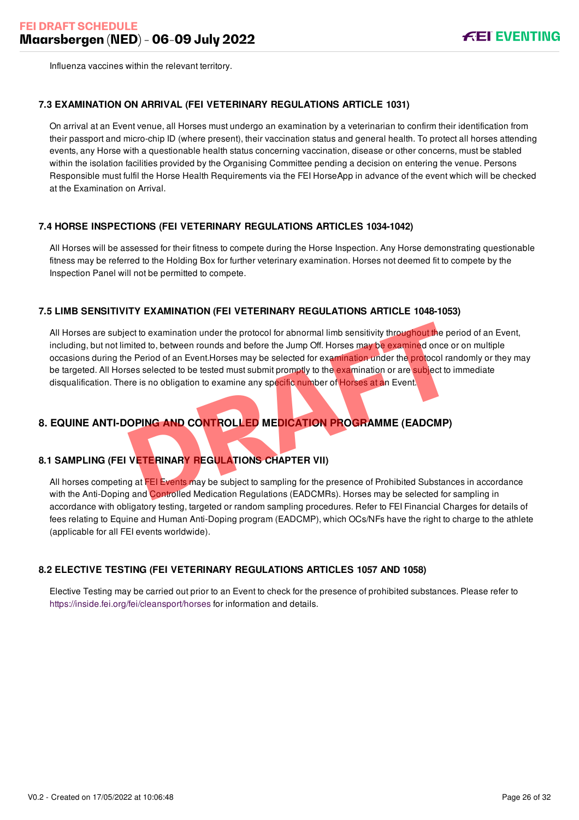Influenza vaccines within the relevant territory.

#### <span id="page-26-0"></span>**7.3 EXAMINATION ON ARRIVAL (FEI VETERINARY REGULATIONS ARTICLE 1031)**

On arrival at an Event venue, all Horses must undergo an examination by a veterinarian to confirm their identification from their passport and micro-chip ID (where present), their vaccination status and general health. To protect all horses attending events, any Horse with a questionable health status concerning vaccination, disease or other concerns, must be stabled within the isolation facilities provided by the Organising Committee pending a decision on entering the venue. Persons Responsible must fulfil the Horse Health Requirements via the FEI HorseApp in advance of the event which will be checked at the Examination on Arrival.

#### <span id="page-26-1"></span>**7.4 HORSE INSPECTIONS (FEI VETERINARY REGULATIONS ARTICLES 1034-1042)**

All Horses will be assessed for their fitness to compete during the Horse Inspection. Any Horse demonstrating questionable fitness may be referred to the Holding Box for further veterinary examination. Horses not deemed fit to compete by the Inspection Panel will not be permitted to compete.

#### <span id="page-26-2"></span>**7.5 LIMB SENSITIVITY EXAMINATION (FEI VETERINARY REGULATIONS ARTICLE 1048-1053)**

All Horses are subject to examination under the protocol for abnormal limb sensitivity throughout the period of an Event, including, but not limited to, between rounds and before the Jump Off. Horses may be examined once or on multiple occasions during the Period of an Event.Horses may be selected for examination under the protocol randomly or they may be targeted. All Horses selected to be tested must submit promptly to the examination or are subject to immediate disqualification. There is no obligation to examine any specific number of Horses at an Event. Examination under the protocol for abnormal limb sensitivity throughout the period of a between rounds and before the Jump Off. Horses may be examined once or<br>
DRAFT Period of an Event.Horses may be selected for examinatio

# <span id="page-26-3"></span>**8. EQUINE ANTI-DOPING AND CONTROLLED MEDICATION PROGRAMME (EADCMP)**

### <span id="page-26-4"></span>**8.1 SAMPLING (FEI VETERINARY REGULATIONS CHAPTER VII)**

All horses competing at FEI Events may be subject to sampling for the presence of Prohibited Substances in accordance with the Anti-Doping and Controlled Medication Regulations (EADCMRs). Horses may be selected for sampling in accordance with obligatory testing, targeted or random sampling procedures. Refer to FEI Financial Charges for details of fees relating to Equine and Human Anti-Doping program (EADCMP), which OCs/NFs have the right to charge to the athlete (applicable for all FEI events worldwide).

### <span id="page-26-5"></span>**8.2 ELECTIVE TESTING (FEI VETERINARY REGULATIONS ARTICLES 1057 AND 1058)**

Elective Testing may be carried out prior to an Event to check for the presence of prohibited substances. Please refer to <https://inside.fei.org/fei/cleansport/horses>for information and details.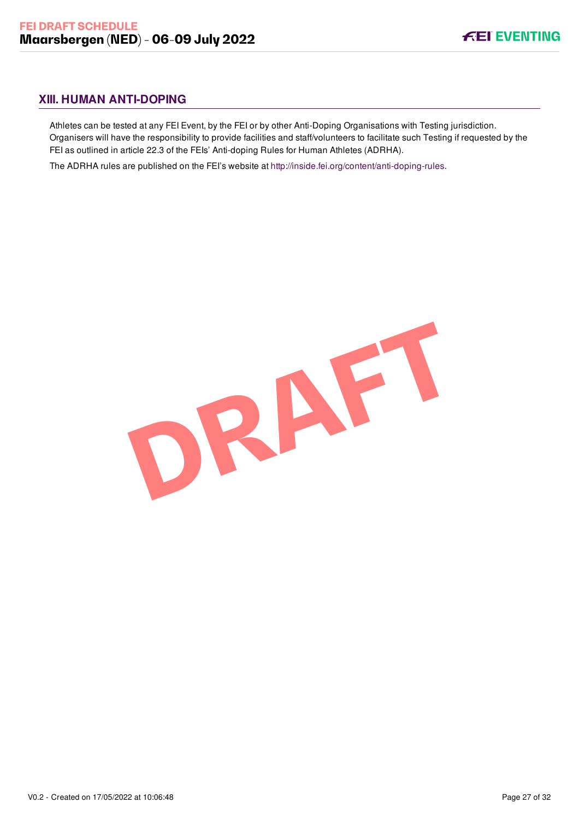# <span id="page-27-0"></span>**XIII. HUMAN ANTI-DOPING**

Athletes can be tested at any FEI Event, by the FEI or by other Anti-Doping Organisations with Testing jurisdiction. Organisers will have the responsibility to provide facilities and staff/volunteers to facilitate such Testing if requested by the FEI as outlined in article 22.3 of the FEIs' Anti-doping Rules for Human Athletes (ADRHA).

The ADRHA rules are published on the FEI's website at [http://inside.fei.org/content/anti-doping-rules.](http://inside.fei.org/content/anti-doping-rules)

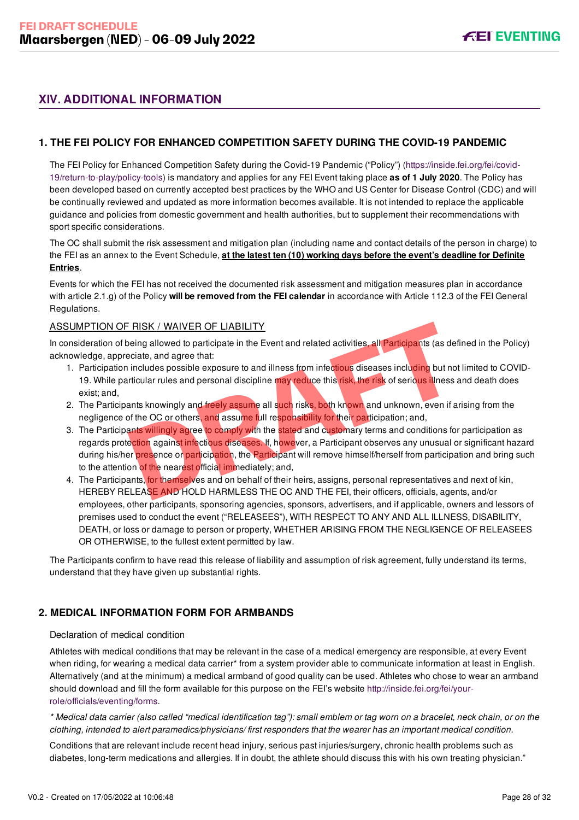# <span id="page-28-0"></span>**XIV. ADDITIONAL INFORMATION**

### <span id="page-28-1"></span>**1. THE FEI POLICY FOR ENHANCED COMPETITION SAFETY DURING THE COVID-19 PANDEMIC**

[The FEI Policy for Enhanced Competition Safety during the Covid-19 Pandemic \("Policy"\) \(https://inside.fei.org/fei/covid-](https://inside.fei.org/fei/covid-19/return-to-play/policy-tools)19/return-to-play/policy-tools) is mandatory and applies for any FEI Event taking place **as of 1 July 2020**. The Policy has been developed based on currently accepted best practices by the WHO and US Center for Disease Control (CDC) and will be continually reviewed and updated as more information becomes available. It is not intended to replace the applicable guidance and policies from domestic government and health authorities, but to supplement their recommendations with sport specific considerations.

The OC shall submit the risk assessment and mitigation plan (including name and contact details of the person in charge) to the FEI as an annex to the Event Schedule, **at the latest ten (10) working days before the event's deadline for Definite Entries**.

Events for which the FEI has not received the documented risk assessment and mitigation measures plan in accordance with article 2.1.g) of the Policy **will be removed from the FEI calendar** in accordance with Article 112.3 of the FEI General Regulations.

#### ASSUMPTION OF RISK / WAIVER OF LIABILITY

In consideration of being allowed to participate in the Event and related activities, all Participants (as defined in the Policy) acknowledge, appreciate, and agree that:

- 1. Participation includes possible exposure to and illness from infectious diseases including but not limited to COVID-19. While particular rules and personal discipline may reduce this risk, the risk of serious illness and death does exist; and,
- 2. The Participants knowingly and freely assume all such risks, both known and unknown, even if arising from the negligence of the OC or others, and assume full responsibility for their participation; and,
- 3. The Participants willingly agree to comply with the stated and customary terms and conditions for participation as regards protection against infectious diseases. If, however, a Participant observes any unusual or significant hazard during his/her presence or participation, the Participant will remove himself/herself from participation and bring such to the attention of the nearest official immediately; and, FRISK / WAIVER OF LIABILITY<br>
Designal allowed to participate in the Event and related activities, all Participants (as detectate, and agree that:<br>
includes possible exposure to and illness from infectious diseases includin
- 4. The Participants, for themselves and on behalf of their heirs, assigns, personal representatives and next of kin, HEREBY RELEASE AND HOLD HARMLESS THE OC AND THE FEI, their officers, officials, agents, and/or employees, other participants, sponsoring agencies, sponsors, advertisers, and if applicable, owners and lessors of premises used to conduct the event ("RELEASEES"), WITH RESPECT TO ANY AND ALL ILLNESS, DISABILITY, DEATH, or loss or damage to person or property, WHETHER ARISING FROM THE NEGLIGENCE OF RELEASEES OR OTHERWISE, to the fullest extent permitted by law.

The Participants confirm to have read this release of liability and assumption of risk agreement, fully understand its terms, understand that they have given up substantial rights.

### <span id="page-28-2"></span>**2. MEDICAL INFORMATION FORM FOR ARMBANDS**

#### Declaration of medical condition

Athletes with medical conditions that may be relevant in the case of a medical emergency are responsible, at every Event when riding, for wearing a medical data carrier\* from a system provider able to communicate information at least in English. Alternatively (and at the minimum) a medical armband of good quality can be used. Athletes who chose to wear an armband [should download and fill the form available for this purpose on the FEI's website http://inside.fei.org/fei/your](http://inside.fei.org/fei/your-role/officials/eventing/forms)role/officials/eventing/forms.

*\* Medical data carrier (also called "medical identification tag"): small emblem or tag worn on a bracelet, neck chain, or on the clothing, intended to alert paramedics/physicians/ first responders that the wearer has an important medical condition.*

Conditions that are relevant include recent head injury, serious past injuries/surgery, chronic health problems such as diabetes, long-term medications and allergies. If in doubt, the athlete should discuss this with his own treating physician."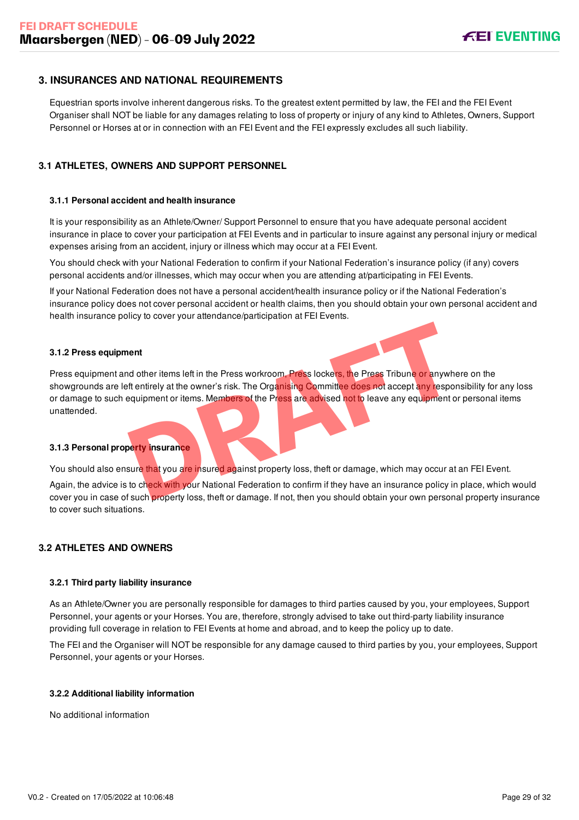### <span id="page-29-0"></span>**3. INSURANCES AND NATIONAL REQUIREMENTS**

Equestrian sports involve inherent dangerous risks. To the greatest extent permitted by law, the FEI and the FEI Event Organiser shall NOT be liable for any damages relating to loss of property or injury of any kind to Athletes, Owners, Support Personnel or Horses at or in connection with an FEI Event and the FEI expressly excludes all such liability.

### <span id="page-29-1"></span>**3.1 ATHLETES, OWNERS AND SUPPORT PERSONNEL**

#### **3.1.1 Personal accident and health insurance**

It is your responsibility as an Athlete/Owner/ Support Personnel to ensure that you have adequate personal accident insurance in place to cover your participation at FEI Events and in particular to insure against any personal injury or medical expenses arising from an accident, injury or illness which may occur at a FEI Event.

You should check with your National Federation to confirm if your National Federation's insurance policy (if any) covers personal accidents and/or illnesses, which may occur when you are attending at/participating in FEI Events.

If your National Federation does not have a personal accident/health insurance policy or if the National Federation's insurance policy does not cover personal accident or health claims, then you should obtain your own personal accident and health insurance policy to cover your attendance/participation at FEI Events.

#### **3.1.2 Press equipment**

Press equipment and other items left in the Press workroom, Press lockers, the Press Tribune or anywhere on the showgrounds are left entirely at the owner's risk. The Organising Committee does not accept any responsibility for any loss or damage to such equipment or items. Members of the Press are advised not to leave any equipment or personal items unattended. Figure 11 and the ritems left in the Press workroom. Press lockers, the Press Tribune or anywhere the nitrely at the owner's risk. The Organising Committee does not accept any response<br>paupment or items. Members of the Pre

#### **3.1.3 Personal property insurance**

You should also ensure that you are insured against property loss, theft or damage, which may occur at an FEI Event.

Again, the advice is to check with your National Federation to confirm if they have an insurance policy in place, which would cover you in case of such property loss, theft or damage. If not, then you should obtain your own personal property insurance to cover such situations.

#### <span id="page-29-2"></span>**3.2 ATHLETES AND OWNERS**

#### **3.2.1 Third party liability insurance**

As an Athlete/Owner you are personally responsible for damages to third parties caused by you, your employees, Support Personnel, your agents or your Horses. You are, therefore, strongly advised to take out third-party liability insurance providing full coverage in relation to FEI Events at home and abroad, and to keep the policy up to date.

The FEI and the Organiser will NOT be responsible for any damage caused to third parties by you, your employees, Support Personnel, your agents or your Horses.

#### **3.2.2 Additional liability information**

No additional information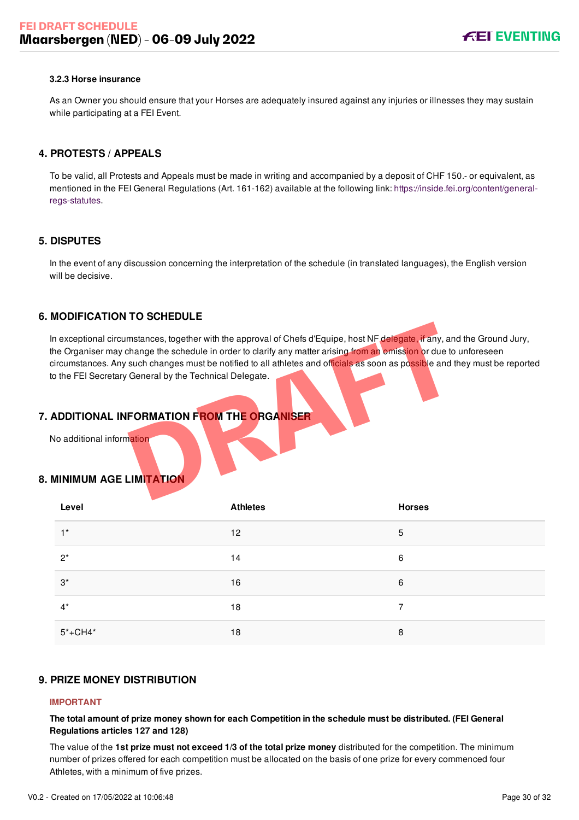#### **3.2.3 Horse insurance**

As an Owner you should ensure that your Horses are adequately insured against any injuries or illnesses they may sustain while participating at a FEI Event.

### <span id="page-30-0"></span>**4. PROTESTS / APPEALS**

To be valid, all Protests and Appeals must be made in writing and accompanied by a deposit of CHF 150.- or equivalent, as [mentioned in the FEI General Regulations \(Art. 161-162\) available at the following link: https://inside.fei.org/content/general](https://inside.fei.org/content/general-regs-statutes)regs-statutes.

#### <span id="page-30-1"></span>**5. DISPUTES**

In the event of any discussion concerning the interpretation of the schedule (in translated languages), the English version will be decisive.

### <span id="page-30-2"></span>**6. MODIFICATION TO SCHEDULE**

In exceptional circumstances, together with the approval of Chefs d'Equipe, host NF delegate, if any, and the Ground Jury, the Organiser may change the schedule in order to clarify any matter arising from an omission or due to unforeseen circumstances. Any such changes must be notified to all athletes and officials as soon as possible and they must be reported to the FEI Secretary General by the Technical Delegate. mstances, together with the approval of Chefs d'Equipe, host NF delegate, if any, and<br>hange the schedule in order to clarify any matter arising from an omission or due to<br>such changes must be notified to all athletes and o

### <span id="page-30-3"></span>**7. ADDITIONAL INFORMATION FROM THE ORGANISER**

No additional information

### <span id="page-30-4"></span>**8. MINIMUM AGE LIMITATION**

| $\sim$<br>Level | <b>Athletes</b> | <b>Horses</b> |
|-----------------|-----------------|---------------|
| $1^*$           | 12              | 5             |
| $2^*$           | 14              | 6             |
| $3^*$           | 16              | 6             |
| $4^*$           | 18              | 7             |
| $5* + CH4*$     | 18              | 8             |

### <span id="page-30-5"></span>**9. PRIZE MONEY DISTRIBUTION**

#### **IMPORTANT**

**The total amount of prize money shown for each Competition in the schedule must be distributed. (FEI General Regulations articles 127 and 128)**

The value of the **1st prize must not exceed 1/3 of the total prize money** distributed for the competition. The minimum number of prizes offered for each competition must be allocated on the basis of one prize for every commenced four Athletes, with a minimum of five prizes.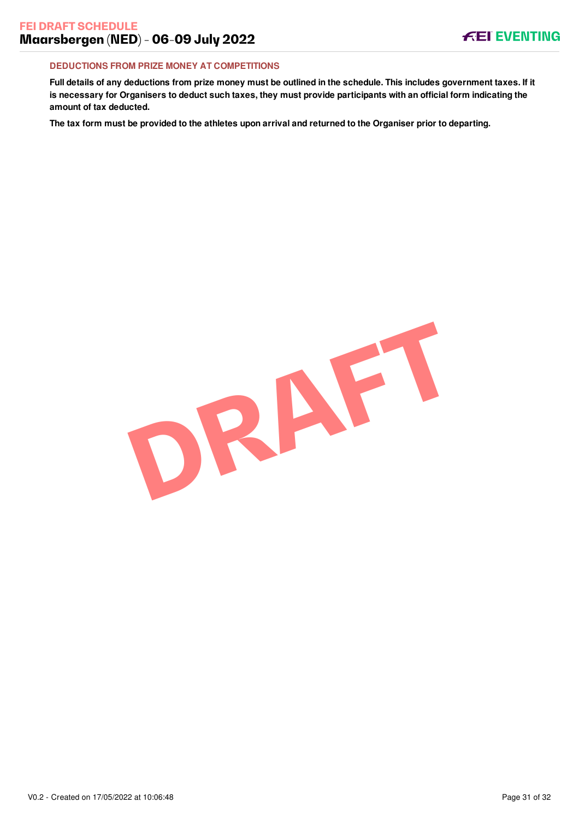#### **DEDUCTIONS FROM PRIZE MONEY AT COMPETITIONS**

**Full details of any deductions from prize money must be outlined in the schedule. This includes government taxes. If it is necessary for Organisers to deduct such taxes, they must provide participants with an official form indicating the amount of tax deducted.**

**The tax form must be provided to the athletes upon arrival and returned to the Organiser prior to departing.**